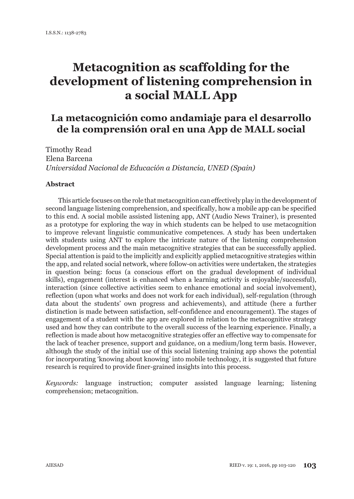# **Metacognition as scaffolding for the development of listening comprehension in a social MALL App**

# **La metacognición como andamiaje para el desarrollo de la comprensión oral en una App de MALL social**

Timothy Read Elena Barcena *Universidad Nacional de Educación a Distancia, UNED (Spain)*

#### **Abstract**

This article focuses on the role that metacognition can effectively play in the development of second language listening comprehension, and specifically, how a mobile app can be specified to this end. A social mobile assisted listening app, ANT (Audio News Trainer), is presented as a prototype for exploring the way in which students can be helped to use metacognition to improve relevant linguistic communicative competences. A study has been undertaken with students using ANT to explore the intricate nature of the listening comprehension development process and the main metacognitive strategies that can be successfully applied. Special attention is paid to the implicitly and explicitly applied metacognitive strategies within the app, and related social network, where follow-on activities were undertaken, the strategies in question being: focus (a conscious effort on the gradual development of individual skills), engagement (interest is enhanced when a learning activity is enjoyable/successful), interaction (since collective activities seem to enhance emotional and social involvement), reflection (upon what works and does not work for each individual), self-regulation (through data about the students' own progress and achievements), and attitude (here a further distinction is made between satisfaction, self-confidence and encouragement). The stages of engagement of a student with the app are explored in relation to the metacognitive strategy used and how they can contribute to the overall success of the learning experience. Finally, a reflection is made about how metacognitive strategies offer an effective way to compensate for the lack of teacher presence, support and guidance, on a medium/long term basis. However, although the study of the initial use of this social listening training app shows the potential for incorporating 'knowing about knowing' into mobile technology, it is suggested that future research is required to provide finer-grained insights into this process.

*Keywords:* language instruction; computer assisted language learning; listening comprehension; metacognition.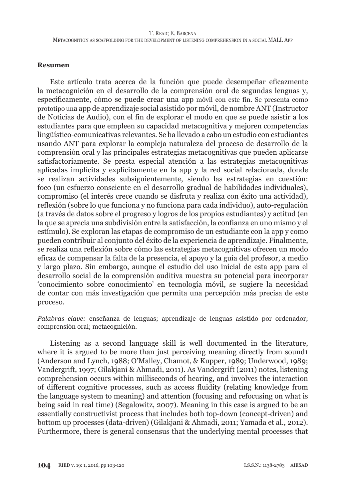#### **Resumen**

Este artículo trata acerca de la función que puede desempeñar eficazmente la metacognición en el desarrollo de la comprensión oral de segundas lenguas y, específicamente, cómo se puede crear una app móvil con este fin. Se presenta como prototipo una app de aprendizaje social asistido por móvil, de nombre ANT (Instructor de Noticias de Audio), con el fin de explorar el modo en que se puede asistir a los estudiantes para que empleen su capacidad metacognitiva y mejoren competencias lingüístico-comunicativas relevantes. Se ha llevado a cabo un estudio con estudiantes usando ANT para explorar la compleja naturaleza del proceso de desarrollo de la comprensión oral y las principales estrategias metacognitivas que pueden aplicarse satisfactoriamente. Se presta especial atención a las estrategias metacognitivas aplicadas implícita y explícitamente en la app y la red social relacionada, donde se realizan actividades subsiguientemente, siendo las estrategias en cuestión: foco (un esfuerzo consciente en el desarrollo gradual de habilidades individuales), compromiso (el interés crece cuando se disfruta y realiza con éxito una actividad), reflexión (sobre lo que funciona y no funciona para cada individuo), auto-regulación (a través de datos sobre el progreso y logros de los propios estudiantes) y actitud (en la que se aprecia una subdivisión entre la satisfacción, la confianza en uno mismo y el estímulo). Se exploran las etapas de compromiso de un estudiante con la app y como pueden contribuir al conjunto del éxito de la experiencia de aprendizaje. Finalmente, se realiza una reflexión sobre cómo las estrategias metacognitivas ofrecen un modo eficaz de compensar la falta de la presencia, el apoyo y la guía del profesor, a medio y largo plazo. Sin embargo, aunque el estudio del uso inicial de esta app para el desarrollo social de la comprensión auditiva muestra su potencial para incorporar 'conocimiento sobre conocimiento' en tecnología móvil, se sugiere la necesidad de contar con más investigación que permita una percepción más precisa de este proceso.

*Palabras clave:* enseñanza de lenguas; aprendizaje de lenguas asistido por ordenador; comprensión oral; metacognición.

Listening as a second language skill is well documented in the literature, where it is argued to be more than just perceiving meaning directly from sound (Anderson and Lynch, 1988; O'Malley, Chamot, & Kupper, 1989; Underwood, 1989; Vandergrift, 1997; Gilakjani & Ahmadi, 2011). As Vandergrift (2011) notes, listening comprehension occurs within milliseconds of hearing, and involves the interaction of different cognitive processes, such as access fluidity (relating knowledge from the language system to meaning) and attention (focusing and refocusing on what is being said in real time) (Segalowitz, 2007). Meaning in this case is argued to be an essentially constructivist process that includes both top-down (concept-driven) and bottom up processes (data-driven) (Gilakjani & Ahmadi, 2011; Yamada et al., 2012). Furthermore, there is general consensus that the underlying mental processes that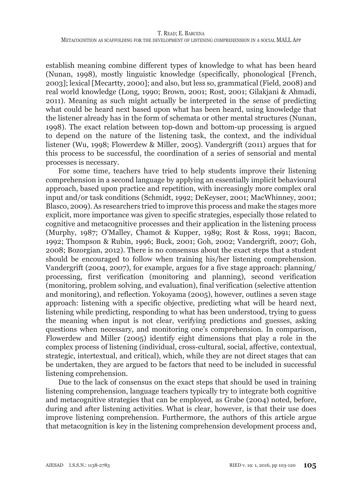establish meaning combine different types of knowledge to what has been heard (Nunan, 1998), mostly linguistic knowledge (specifically, phonological [French, 2003]; lexical [Mecartty, 2000]; and also, but less so, grammatical (Field, 2008) and real world knowledge (Long, 1990; Brown, 2001; Rost, 2001; Gilakjani & Ahmadi, 2011). Meaning as such might actually be interpreted in the sense of predicting what could be heard next based upon what has been heard, using knowledge that the listener already has in the form of schemata or other mental structures (Nunan, 1998). The exact relation between top-down and bottom-up processing is argued to depend on the nature of the listening task, the context, and the individual listener (Wu, 1998; Flowerdew & Miller, 2005). Vandergrift (2011) argues that for this process to be successful, the coordination of a series of sensorial and mental processes is necessary.

For some time, teachers have tried to help students improve their listening comprehension in a second language by applying an essentially implicit behavioural approach, based upon practice and repetition, with increasingly more complex oral input and/or task conditions (Schmidt, 1992; DeKeyser, 2001; MacWhinney, 2001; Blasco, 2009). As researchers tried to improve this process and make the stages more explicit, more importance was given to specific strategies, especially those related to cognitive and metacognitive processes and their application in the listening process (Murphy, 1987; O'Malley, Chamot & Kupper, 1989; Rost & Ross, 1991; Bacon, 1992; Thompson & Rubin, 1996; Buck, 2001; Goh, 2002; Vandergrift, 2007; Goh, 2008; Bozorgian, 2012). There is no consensus about the exact steps that a student should be encouraged to follow when training his/her listening comprehension. Vandergrift (2004, 2007), for example, argues for a five stage approach: planning/ processing, first verification (monitoring and planning), second verification (monitoring, problem solving, and evaluation), final verification (selective attention and monitoring), and reflection. Yokoyama (2005), however, outlines a seven stage approach: listening with a specific objective, predicting what will be heard next, listening while predicting, responding to what has been understood, trying to guess the meaning when input is not clear, verifying predictions and guesses, asking questions when necessary, and monitoring one's comprehension. In comparison, Flowerdew and Miller (2005) identify eight dimensions that play a role in the complex process of listening (individual, cross-cultural, social, affective, contextual, strategic, intertextual, and critical), which, while they are not direct stages that can be undertaken, they are argued to be factors that need to be included in successful listening comprehension.

Due to the lack of consensus on the exact steps that should be used in training listening comprehension, language teachers typically try to integrate both cognitive and metacognitive strategies that can be employed, as Grabe (2004) noted, before, during and after listening activities. What is clear, however, is that their use does improve listening comprehension. Furthermore, the authors of this article argue that metacognition is key in the listening comprehension development process and,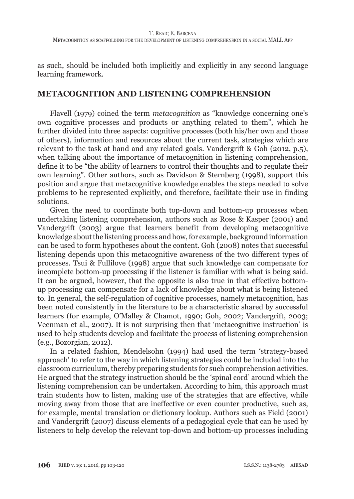as such, should be included both implicitly and explicitly in any second language learning framework.

#### **METACOGNITION AND LISTENING COMPREHENSION**

Flavell (1979) coined the term *metacognition* as "knowledge concerning one's own cognitive processes and products or anything related to them", which he further divided into three aspects: cognitive processes (both his/her own and those of others), information and resources about the current task, strategies which are relevant to the task at hand and any related goals. Vandergrift & Goh (2012, p.5), when talking about the importance of metacognition in listening comprehension, define it to be "the ability of learners to control their thoughts and to regulate their own learning". Other authors, such as Davidson & Sternberg (1998), support this position and argue that metacognitive knowledge enables the steps needed to solve problems to be represented explicitly, and therefore, facilitate their use in finding solutions.

Given the need to coordinate both top-down and bottom-up processes when undertaking listening comprehension, authors such as Rose & Kasper (2001) and Vandergrift (2003) argue that learners benefit from developing metacognitive knowledge about the listening process and how, for example, background information can be used to form hypotheses about the content. Goh (2008) notes that successful listening depends upon this metacognitive awareness of the two different types of processes. Tsui & Fullilove (1998) argue that such knowledge can compensate for incomplete bottom-up processing if the listener is familiar with what is being said. It can be argued, however, that the opposite is also true in that effective bottomup processing can compensate for a lack of knowledge about what is being listened to. In general, the self-regulation of cognitive processes, namely metacognition, has been noted consistently in the literature to be a characteristic shared by successful learners (for example, O'Malley & Chamot, 1990; Goh, 2002; Vandergrift, 2003; Veenman et al., 2007). It is not surprising then that 'metacognitive instruction' is used to help students develop and facilitate the process of listening comprehension (e.g., Bozorgian, 2012).

In a related fashion, Mendelsohn (1994) had used the term 'strategy-based approach' to refer to the way in which listening strategies could be included into the classroom curriculum, thereby preparing students for such comprehension activities. He argued that the strategy instruction should be the 'spinal cord' around which the listening comprehension can be undertaken. According to him, this approach must train students how to listen, making use of the strategies that are effective, while moving away from those that are ineffective or even counter productive, such as, for example, mental translation or dictionary lookup. Authors such as Field (2001) and Vandergrift (2007) discuss elements of a pedagogical cycle that can be used by listeners to help develop the relevant top-down and bottom-up processes including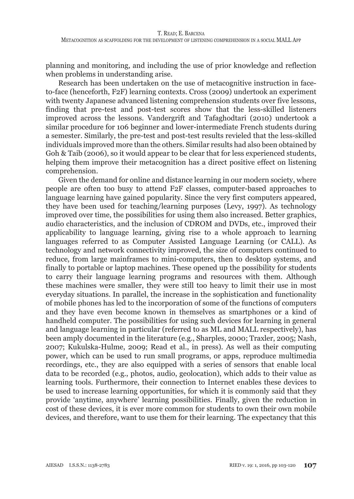planning and monitoring, and including the use of prior knowledge and reflection when problems in understanding arise.

Research has been undertaken on the use of metacognitive instruction in faceto-face (henceforth, F2F) learning contexts. Cross (2009) undertook an experiment with twenty Japanese advanced listening comprehension students over five lessons, finding that pre-test and post-test scores show that the less-skilled listeners improved across the lessons. Vandergrift and Tafaghodtari (2010) undertook a similar procedure for 106 beginner and lower-intermediate French students during a semester. Similarly, the pre-test and post-test results revieled that the less-skilled individuals improved more than the others. Similar results had also been obtained by Goh & Taib (2006), so it would appear to be clear that for less experienced students, helping them improve their metacognition has a direct positive effect on listening comprehension.

Given the demand for online and distance learning in our modern society, where people are often too busy to attend F2F classes, computer-based approaches to language learning have gained popularity. Since the very first computers appeared, they have been used for teaching/learning purposes (Levy, 1997). As technology improved over time, the possibilities for using them also increased. Better graphics, audio characteristics, and the inclusion of CDROM and DVDs, etc., improved their applicability to language learning, giving rise to a whole approach to learning languages referred to as Computer Assisted Language Learning (or CALL). As technology and network connectivity improved, the size of computers continued to reduce, from large mainframes to mini-computers, then to desktop systems, and finally to portable or laptop machines. These opened up the possibility for students to carry their language learning programs and resources with them. Although these machines were smaller, they were still too heavy to limit their use in most everyday situations. In parallel, the increase in the sophistication and functionality of mobile phones has led to the incorporation of some of the functions of computers and they have even become known in themselves as smartphones or a kind of handheld computer. The possibilities for using such devices for learning in general and language learning in particular (referred to as ML and MALL respectively), has been amply documented in the literature (e.g., Sharples, 2000; Traxler, 2005; Nash, 2007; Kukulska-Hulme, 2009; Read et al., in press). As well as their computing power, which can be used to run small programs, or apps, reproduce multimedia recordings, etc., they are also equipped with a series of sensors that enable local data to be recorded (e.g., photos, audio, geolocation), which adds to their value as learning tools. Furthermore, their connection to Internet enables these devices to be used to increase learning opportunities, for which it is commonly said that they provide 'anytime, anywhere' learning possibilities. Finally, given the reduction in cost of these devices, it is ever more common for students to own their own mobile devices, and therefore, want to use them for their learning. The expectancy that this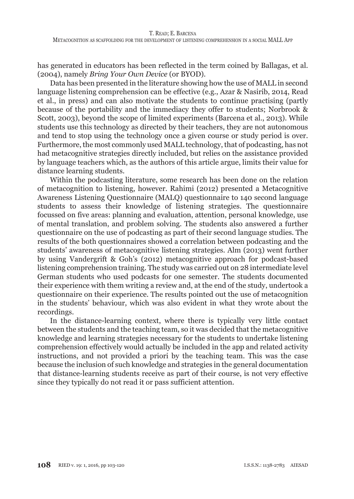has generated in educators has been reflected in the term coined by Ballagas, et al. (2004), namely *Bring Your Own Device* (or BYOD).

Data has been presented in the literature showing how the use of MALL in second language listening comprehension can be effective (e.g., Azar & Nasirib, 2014, Read et al., in press) and can also motivate the students to continue practising (partly because of the portability and the immediacy they offer to students; Norbrook & Scott, 2003), beyond the scope of limited experiments (Barcena et al., 2013). While students use this technology as directed by their teachers, they are not autonomous and tend to stop using the technology once a given course or study period is over. Furthermore, the most commonly used MALL technology, that of podcasting, has not had metacognitive strategies directly included, but relies on the assistance provided by language teachers which, as the authors of this article argue, limits their value for distance learning students.

Within the podcasting literature, some research has been done on the relation of metacognition to listening, however. Rahimi (2012) presented a Metacognitive Awareness Listening Questionnaire (MALQ) questionnaire to 140 second language students to assess their knowledge of listening strategies. The questionnaire focussed on five areas: planning and evaluation, attention, personal knowledge, use of mental translation, and problem solving. The students also answered a further questionnaire on the use of podcasting as part of their second language studies. The results of the both questionnaires showed a correlation between podcasting and the students' awareness of metacognitive listening strategies. Alm (2013) went further by using Vandergrift & Goh's (2012) metacognitive approach for podcast-based listening comprehension training. The study was carried out on 28 intermediate level German students who used podcasts for one semester. The students documented their experience with them writing a review and, at the end of the study, undertook a questionnaire on their experience. The results pointed out the use of metacognition in the students' behaviour, which was also evident in what they wrote about the recordings.

In the distance-learning context, where there is typically very little contact between the students and the teaching team, so it was decided that the metacognitive knowledge and learning strategies necessary for the students to undertake listening comprehension effectively would actually be included in the app and related activity instructions, and not provided a priori by the teaching team. This was the case because the inclusion of such knowledge and strategies in the general documentation that distance-learning students receive as part of their course, is not very effective since they typically do not read it or pass sufficient attention.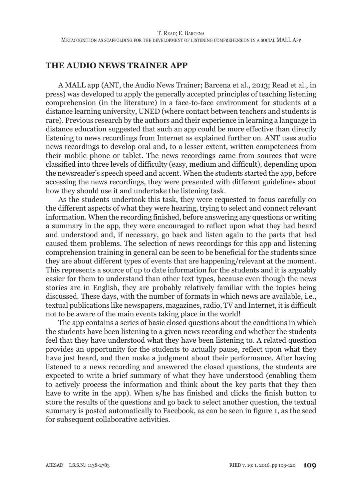#### **THE AUDIO NEWS TRAINER APP**

A MALL app (ANT, the Audio News Trainer; Barcena et al., 2013; Read et al., in press) was developed to apply the generally accepted principles of teaching listening comprehension (in the literature) in a face-to-face environment for students at a distance learning university, UNED (where contact between teachers and students is rare). Previous research by the authors and their experience in learning a language in distance education suggested that such an app could be more effective than directly listening to news recordings from Internet as explained further on. ANT uses audio news recordings to develop oral and, to a lesser extent, written competences from their mobile phone or tablet. The news recordings came from sources that were classified into three levels of difficulty (easy, medium and difficult), depending upon the newsreader's speech speed and accent. When the students started the app, before accessing the news recordings, they were presented with different guidelines about how they should use it and undertake the listening task.

As the students undertook this task, they were requested to focus carefully on the different aspects of what they were hearing, trying to select and connect relevant information. When the recording finished, before answering any questions or writing a summary in the app, they were encouraged to reflect upon what they had heard and understood and, if necessary, go back and listen again to the parts that had caused them problems. The selection of news recordings for this app and listening comprehension training in general can be seen to be beneficial for the students since they are about different types of events that are happening/relevant at the moment. This represents a source of up to date information for the students and it is arguably easier for them to understand than other text types, because even though the news stories are in English, they are probably relatively familiar with the topics being discussed. These days, with the number of formats in which news are available, i.e., textual publications like newspapers, magazines, radio, TV and Internet, it is difficult not to be aware of the main events taking place in the world!

The app contains a series of basic closed questions about the conditions in which the students have been listening to a given news recording and whether the students feel that they have understood what they have been listening to. A related question provides an opportunity for the students to actually pause, reflect upon what they have just heard, and then make a judgment about their performance. After having listened to a news recording and answered the closed questions, the students are expected to write a brief summary of what they have understood (enabling them to actively process the information and think about the key parts that they then have to write in the app). When s/he has finished and clicks the finish button to store the results of the questions and go back to select another question, the textual summary is posted automatically to Facebook, as can be seen in figure 1, as the seed for subsequent collaborative activities.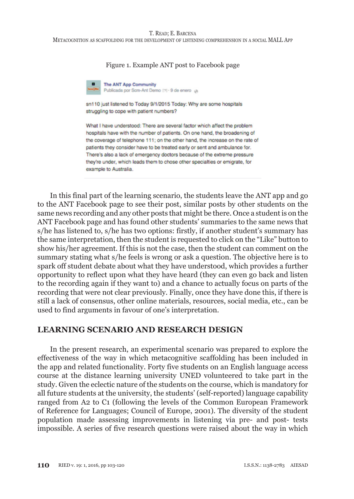Figure 1. Example ANT post to Facebook page



sn110 just listened to Today 9/1/2015 Today: Why are some hospitals struggling to cope with patient numbers?

What I have understood: There are several factor which affect the problem hospitals have with the number of patients. On one hand, the broadening of the coverage of telephone 111; on the other hand, the increase on the rate of patients they consider have to be treated early or sent and ambulance for. There's also a lack of emergency doctors because of the extreme pressure they're under, which leads them to chose other specialties or emigrate, for example to Australia.

In this final part of the learning scenario, the students leave the ANT app and go to the ANT Facebook page to see their post, similar posts by other students on the same news recording and any other posts that might be there. Once a student is on the ANT Facebook page and has found other students' summaries to the same news that s/he has listened to, s/he has two options: firstly, if another student's summary has the same interpretation, then the student is requested to click on the "Like" button to show his/her agreement. If this is not the case, then the student can comment on the summary stating what s/he feels is wrong or ask a question. The objective here is to spark off student debate about what they have understood, which provides a further opportunity to reflect upon what they have heard (they can even go back and listen to the recording again if they want to) and a chance to actually focus on parts of the recording that were not clear previously. Finally, once they have done this, if there is still a lack of consensus, other online materials, resources, social media, etc., can be used to find arguments in favour of one's interpretation.

## **LEARNING SCENARIO AND RESEARCH DESIGN**

In the present research, an experimental scenario was prepared to explore the effectiveness of the way in which metacognitive scaffolding has been included in the app and related functionality. Forty five students on an English language access course at the distance learning university UNED volunteered to take part in the study. Given the eclectic nature of the students on the course, which is mandatory for all future students at the university, the students' (self-reported) language capability ranged from A2 to C1 (following the levels of the Common European Framework of Reference for Languages; Council of Europe, 2001). The diversity of the student population made assessing improvements in listening via pre- and post- tests impossible. A series of five research questions were raised about the way in which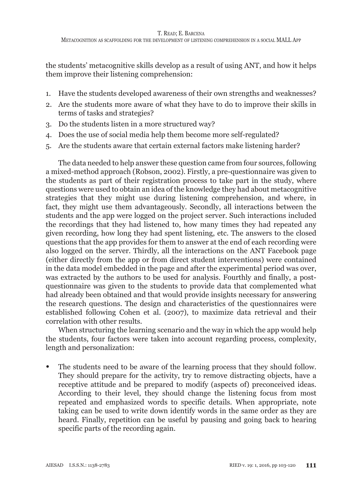the students' metacognitive skills develop as a result of using ANT, and how it helps them improve their listening comprehension:

- 1. Have the students developed awareness of their own strengths and weaknesses?
- 2. Are the students more aware of what they have to do to improve their skills in terms of tasks and strategies?
- 3. Do the students listen in a more structured way?
- 4. Does the use of social media help them become more self-regulated?
- 5. Are the students aware that certain external factors make listening harder?

The data needed to help answer these question came from four sources, following a mixed-method approach (Robson, 2002). Firstly, a pre-questionnaire was given to the students as part of their registration process to take part in the study, where questions were used to obtain an idea of the knowledge they had about metacognitive strategies that they might use during listening comprehension, and where, in fact, they might use them advantageously. Secondly, all interactions between the students and the app were logged on the project server. Such interactions included the recordings that they had listened to, how many times they had repeated any given recording, how long they had spent listening, etc. The answers to the closed questions that the app provides for them to answer at the end of each recording were also logged on the server. Thirdly, all the interactions on the ANT Facebook page (either directly from the app or from direct student interventions) were contained in the data model embedded in the page and after the experimental period was over, was extracted by the authors to be used for analysis. Fourthly and finally, a postquestionnaire was given to the students to provide data that complemented what had already been obtained and that would provide insights necessary for answering the research questions. The design and characteristics of the questionnaires were established following Cohen et al. (2007), to maximize data retrieval and their correlation with other results.

When structuring the learning scenario and the way in which the app would help the students, four factors were taken into account regarding process, complexity, length and personalization:

• The students need to be aware of the learning process that they should follow. They should prepare for the activity, try to remove distracting objects, have a receptive attitude and be prepared to modify (aspects of) preconceived ideas. According to their level, they should change the listening focus from most repeated and emphasized words to specific details. When appropriate, note taking can be used to write down identify words in the same order as they are heard. Finally, repetition can be useful by pausing and going back to hearing specific parts of the recording again.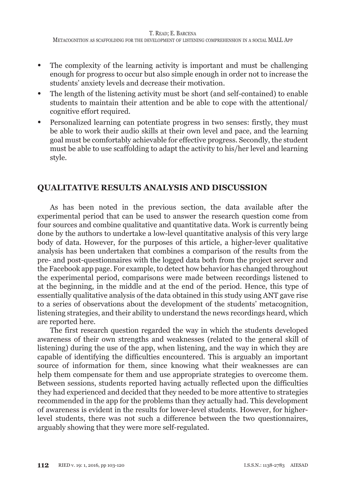- The complexity of the learning activity is important and must be challenging enough for progress to occur but also simple enough in order not to increase the students' anxiety levels and decrease their motivation.
- The length of the listening activity must be short (and self-contained) to enable students to maintain their attention and be able to cope with the attentional/ cognitive effort required.
- Personalized learning can potentiate progress in two senses: firstly, they must be able to work their audio skills at their own level and pace, and the learning goal must be comfortably achievable for effective progress. Secondly, the student must be able to use scaffolding to adapt the activity to his/her level and learning style.

## **QUALITATIVE RESULTS ANALYSIS AND DISCUSSION**

As has been noted in the previous section, the data available after the experimental period that can be used to answer the research question come from four sources and combine qualitative and quantitative data. Work is currently being done by the authors to undertake a low-level quantitative analysis of this very large body of data. However, for the purposes of this article, a higher-lever qualitative analysis has been undertaken that combines a comparison of the results from the pre- and post-questionnaires with the logged data both from the project server and the Facebook app page. For example, to detect how behavior has changed throughout the experimental period, comparisons were made between recordings listened to at the beginning, in the middle and at the end of the period. Hence, this type of essentially qualitative analysis of the data obtained in this study using ANT gave rise to a series of observations about the development of the students' metacognition, listening strategies, and their ability to understand the news recordings heard, which are reported here.

The first research question regarded the way in which the students developed awareness of their own strengths and weaknesses (related to the general skill of listening) during the use of the app, when listening, and the way in which they are capable of identifying the difficulties encountered. This is arguably an important source of information for them, since knowing what their weaknesses are can help them compensate for them and use appropriate strategies to overcome them. Between sessions, students reported having actually reflected upon the difficulties they had experienced and decided that they needed to be more attentive to strategies recommended in the app for the problems than they actually had. This development of awareness is evident in the results for lower-level students. However, for higherlevel students, there was not such a difference between the two questionnaires, arguably showing that they were more self-regulated.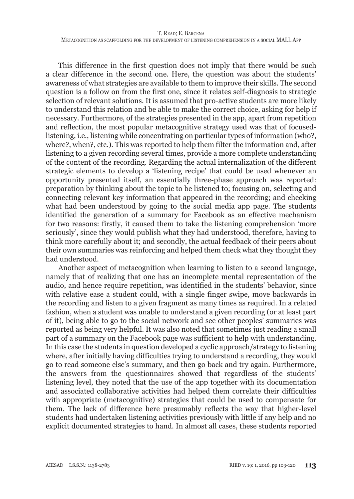This difference in the first question does not imply that there would be such a clear difference in the second one. Here, the question was about the students' awareness of what strategies are available to them to improve their skills. The second question is a follow on from the first one, since it relates self-diagnosis to strategic selection of relevant solutions. It is assumed that pro-active students are more likely to understand this relation and be able to make the correct choice, asking for help if necessary. Furthermore, of the strategies presented in the app, apart from repetition and reflection, the most popular metacognitive strategy used was that of focusedlistening, i.e., listening while concentrating on particular types of information (who?, where?, when?, etc.). This was reported to help them filter the information and, after listening to a given recording several times, provide a more complete understanding of the content of the recording. Regarding the actual internalization of the different strategic elements to develop a 'listening recipe' that could be used whenever an opportunity presented itself, an essentially three-phase approach was reported: preparation by thinking about the topic to be listened to; focusing on, selecting and connecting relevant key information that appeared in the recording; and checking what had been understood by going to the social media app page. The students identified the generation of a summary for Facebook as an effective mechanism for two reasons: firstly, it caused them to take the listening comprehension 'more seriously', since they would publish what they had understood, therefore, having to think more carefully about it; and secondly, the actual feedback of their peers about their own summaries was reinforcing and helped them check what they thought they had understood.

Another aspect of metacognition when learning to listen to a second language, namely that of realizing that one has an incomplete mental representation of the audio, and hence require repetition, was identified in the students' behavior, since with relative ease a student could, with a single finger swipe, move backwards in the recording and listen to a given fragment as many times as required. In a related fashion, when a student was unable to understand a given recording (or at least part of it), being able to go to the social network and see other peoples' summaries was reported as being very helpful. It was also noted that sometimes just reading a small part of a summary on the Facebook page was sufficient to help with understanding. In this case the students in question developed a cyclic approach/strategy to listening where, after initially having difficulties trying to understand a recording, they would go to read someone else's summary, and then go back and try again. Furthermore, the answers from the questionnaires showed that regardless of the students' listening level, they noted that the use of the app together with its documentation and associated collaborative activities had helped them correlate their difficulties with appropriate (metacognitive) strategies that could be used to compensate for them. The lack of difference here presumably reflects the way that higher-level students had undertaken listening activities previously with little if any help and no explicit documented strategies to hand. In almost all cases, these students reported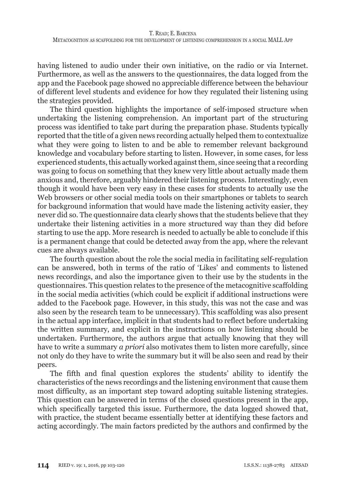having listened to audio under their own initiative, on the radio or via Internet. Furthermore, as well as the answers to the questionnaires, the data logged from the app and the Facebook page showed no appreciable difference between the behaviour of different level students and evidence for how they regulated their listening using the strategies provided.

The third question highlights the importance of self-imposed structure when undertaking the listening comprehension. An important part of the structuring process was identified to take part during the preparation phase. Students typically reported that the title of a given news recording actually helped them to contextualize what they were going to listen to and be able to remember relevant background knowledge and vocabulary before starting to listen. However, in some cases, for less experienced students, this actually worked against them, since seeing that a recording was going to focus on something that they knew very little about actually made them anxious and, therefore, arguably hindered their listening process. Interestingly, even though it would have been very easy in these cases for students to actually use the Web browsers or other social media tools on their smartphones or tablets to search for background information that would have made the listening activity easier, they never did so. The questionnaire data clearly shows that the students believe that they undertake their listening activities in a more structured way than they did before starting to use the app. More research is needed to actually be able to conclude if this is a permanent change that could be detected away from the app, where the relevant cues are always available.

The fourth question about the role the social media in facilitating self-regulation can be answered, both in terms of the ratio of 'Likes' and comments to listened news recordings, and also the importance given to their use by the students in the questionnaires. This question relates to the presence of the metacognitive scaffolding in the social media activities (which could be explicit if additional instructions were added to the Facebook page. However, in this study, this was not the case and was also seen by the research team to be unnecessary). This scaffolding was also present in the actual app interface, implicit in that students had to reflect before undertaking the written summary, and explicit in the instructions on how listening should be undertaken. Furthermore, the authors argue that actually knowing that they will have to write a summary *a priori* also motivates them to listen more carefully, since not only do they have to write the summary but it will be also seen and read by their peers.

The fifth and final question explores the students' ability to identify the characteristics of the news recordings and the listening environment that cause them most difficulty, as an important step toward adopting suitable listening strategies. This question can be answered in terms of the closed questions present in the app, which specifically targeted this issue. Furthermore, the data logged showed that, with practice, the student became essentially better at identifying these factors and acting accordingly. The main factors predicted by the authors and confirmed by the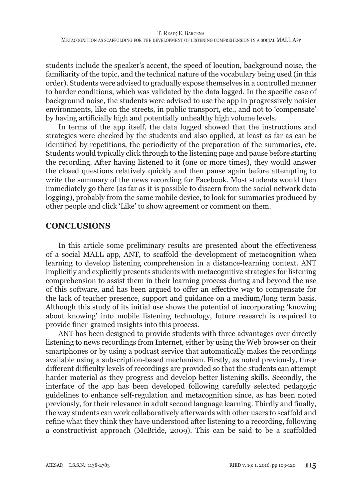students include the speaker's accent, the speed of locution, background noise, the familiarity of the topic, and the technical nature of the vocabulary being used (in this order). Students were advised to gradually expose themselves in a controlled manner to harder conditions, which was validated by the data logged. In the specific case of background noise, the students were advised to use the app in progressively noisier environments, like on the streets, in public transport, etc., and not to 'compensate' by having artificially high and potentially unhealthy high volume levels.

In terms of the app itself, the data logged showed that the instructions and strategies were checked by the students and also applied, at least as far as can be identified by repetitions, the periodicity of the preparation of the summaries, etc. Students would typically click through to the listening page and pause before starting the recording. After having listened to it (one or more times), they would answer the closed questions relatively quickly and then pause again before attempting to write the summary of the news recording for Facebook. Most students would then immediately go there (as far as it is possible to discern from the social network data logging), probably from the same mobile device, to look for summaries produced by other people and click 'Like' to show agreement or comment on them.

#### **CONCLUSIONS**

In this article some preliminary results are presented about the effectiveness of a social MALL app, ANT, to scaffold the development of metacognition when learning to develop listening comprehension in a distance-learning context. ANT implicitly and explicitly presents students with metacognitive strategies for listening comprehension to assist them in their learning process during and beyond the use of this software, and has been argued to offer an effective way to compensate for the lack of teacher presence, support and guidance on a medium/long term basis. Although this study of its initial use shows the potential of incorporating 'knowing about knowing' into mobile listening technology, future research is required to provide finer-grained insights into this process.

ANT has been designed to provide students with three advantages over directly listening to news recordings from Internet, either by using the Web browser on their smartphones or by using a podcast service that automatically makes the recordings available using a subscription-based mechanism. Firstly, as noted previously, three different difficulty levels of recordings are provided so that the students can attempt harder material as they progress and develop better listening skills. Secondly, the interface of the app has been developed following carefully selected pedagogic guidelines to enhance self-regulation and metacognition since, as has been noted previously, for their relevance in adult second language learning. Thirdly and finally, the way students can work collaboratively afterwards with other users to scaffold and refine what they think they have understood after listening to a recording, following a constructivist approach (McBride, 2009). This can be said to be a scaffolded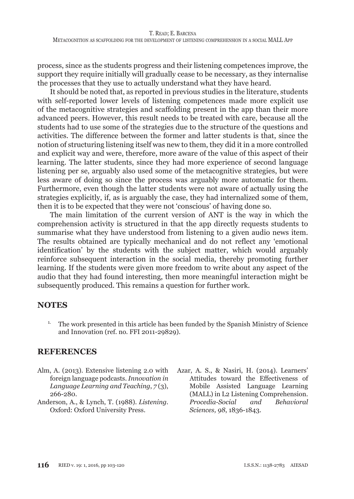process, since as the students progress and their listening competences improve, the support they require initially will gradually cease to be necessary, as they internalise the processes that they use to actually understand what they have heard.

It should be noted that, as reported in previous studies in the literature, students with self-reported lower levels of listening competences made more explicit use of the metacognitive strategies and scaffolding present in the app than their more advanced peers. However, this result needs to be treated with care, because all the students had to use some of the strategies due to the structure of the questions and activities. The difference between the former and latter students is that, since the notion of structuring listening itself was new to them, they did it in a more controlled and explicit way and were, therefore, more aware of the value of this aspect of their learning. The latter students, since they had more experience of second language listening per se, arguably also used some of the metacognitive strategies, but were less aware of doing so since the process was arguably more automatic for them. Furthermore, even though the latter students were not aware of actually using the strategies explicitly, if, as is arguably the case, they had internalized some of them, then it is to be expected that they were not 'conscious' of having done so.

The main limitation of the current version of ANT is the way in which the comprehension activity is structured in that the app directly requests students to summarise what they have understood from listening to a given audio news item. The results obtained are typically mechanical and do not reflect any 'emotional identification' by the students with the subject matter, which would arguably reinforce subsequent interaction in the social media, thereby promoting further learning. If the students were given more freedom to write about any aspect of the audio that they had found interesting, then more meaningful interaction might be subsequently produced. This remains a question for further work.

## **NOTES**

<sup>1.</sup> The work presented in this article has been funded by the Spanish Ministry of Science and Innovation (ref. no. FFI 2011-29829).

## **REFERENCES**

- Alm, A. (2013). Extensive listening 2.0 with foreign language podcasts. *Innovation in Language Learning and Teaching*, *7* (3), 266-280.
- Anderson, A., & Lynch, T. (1988). *Listening.*  Oxford: Oxford University Press.
- Azar, A. S., & Nasiri, H. (2014). Learners' Attitudes toward the Effectiveness of Mobile Assisted Language Learning (MALL) in L2 Listening Comprehension. *Procedia-Social and Behavioral Sciences, 98*, 1836-1843.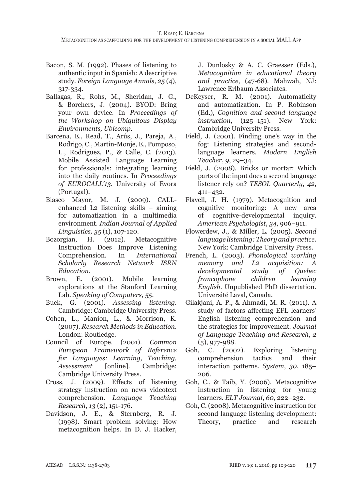- Bacon, S. M. (1992). Phases of listening to authentic input in Spanish: A descriptive study. *Foreign Language Annals, 25* (4), 317-334.
- Ballagas, R., Rohs, M., Sheridan, J. G., & Borchers, J. (2004). BYOD: Bring your own device. In *Proceedings of the Workshop on Ubiquitous Display Environments, Ubicomp*.
- Barcena, E., Read, T., Arús, J., Pareja, A., Rodrigo, C., Martin-Monje, E., Pomposo, L., Rodríguez, P., & Calle, C. (2013). Mobile Assisted Language Learning for professionals: integrating learning into the daily routines. In *Proceedings of EUROCALL'13*. University of Evora (Portugal).
- Blasco Mayor, M. J. (2009). CALLenhanced L2 listening skills – aiming for automatization in a multimedia environment. *Indian Journal of Applied Linguistics, 35* (1), 107-120.
- Bozorgian, H. (2012). Metacognitive Instruction Does Improve Listening Comprehension. In *International Scholarly Research Network ISRN Education.*
- Brown, E. (2001). Mobile learning explorations at the Stanford Learning Lab. *Speaking of Computers, 55.*
- Buck, G. (2001). *Assessing listening.*  Cambridge: Cambridge University Press.
- Cohen, L., Manion, L., & Morrison, K. (2007). *Research Methods in Education.* London: Routledge.
- Council of Europe. (2001). *Common European Framework of Reference for Languages: Learning, Teaching, Assessment* [online]. Cambridge: Cambridge University Press.
- Cross, J. (2009). Effects of listening strategy instruction on news videotext comprehension. *Language Teaching Research*, *13* (2), 151-176.
- Davidson, J. E., & Sternberg, R. J. (1998). Smart problem solving: How metacognition helps. In D. J. Hacker,

J. Dunlosky & A. C. Graesser (Eds.), *Metacognition in educational theory and practice*, (47-68). Mahwah, NJ: Lawrence Erlbaum Associates.

- DeKeyser, R. M. (2001). Automaticity and automatization. In P. Robinson (Ed.), *Cognition and second language instruction*, (125–151). New York: Cambridge University Press.
- Field, J. (2001). Finding one's way in the fog: Listening strategies and secondlanguage learners. *Modern English Teacher*, *9*, 29–34.
- Field, J. (2008). Bricks or mortar: Which parts of the input does a second language listener rely on? *TESOL Quarterly*, *42*, 411–432.
- Flavell, J. H. (1979). Metacognition and cognitive monitoring: A new area of cognitive-developmental inquiry. *American Psychologist*, *34*, 906–911.
- Flowerdew, J., & Miller, L. (2005). *Second language listening: Theory and practice*. New York: Cambridge University Press.
- French, L. (2003). *Phonological working memory and L2 acquisition: A developmental study of Quebec francophone children learning English.* Unpublished PhD dissertation. Université Laval, Canada.
- Gilakjani, A. P., & Ahmadi, M. R. (2011). A study of factors affecting EFL learners' English listening comprehension and the strategies for improvement. *Journal of Language Teaching and Research*, *2*  (5), 977-988.
- Goh, C. (2002). Exploring listening comprehension tactics and their interaction patterns. *System*, *30*, 185– 206.
- Goh, C., & Taib, Y. (2006). Metacognitive instruction in listening for young learners. *ELT Journal*, *60,* 222–232.
- Goh, C. (2008). Metacognitive instruction for second language listening development: Theory, practice and research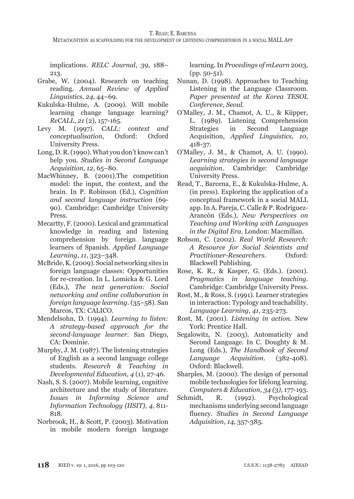T. Read; E. Barcena

Metacognition as scaffolding for the development of listening comprehension in a social MALL App

implications. *RELC Journal*, *39*, 188– 213.

- Grabe, W. (2004). Research on teaching reading. *Annual Review of Applied Linguistics*, *24*, 44–69.
- Kukulska-Hulme, A. (2009). Will mobile learning change language learning? *ReCALL*, *21* (2), 157-165.
- Levy M. (1997). *CALL: context and conceptualisation*, Oxford: Oxford University Press.
- Long, D. R. (1990). What you don't know can't help you. *Studies in Second Language Acquisition*, *12*, 65–80.
- MacWhinney, B. (2001).The competition model: the input, the context, and the brain. In P. Robinson (Ed.), *Cognition and second language instruction* (69- 90). Cambridge: Cambridge University Press.
- Mecartty, F. (2000). Lexical and grammatical knowledge in reading and listening comprehension by foreign language learners of Spanish. *Applied Language Learning*, *11*, 323–348.
- McBride, K. (2009). Social networking sites in foreign language classes: Opportunities for re-creation. In L. Lomicka & G. Lord (Eds.), *The next generation: Social networking and online collaboration in foreign language learning*. (35–58). San Marcos, TX: CALICO.
- Mendelsohn, D. (1994). *Learning to listen: A strategy-based approach for the second-language learner.* San Diego, CA: Dominie.
- Murphy, J. M. (1987). The listening strategies of English as a second language college students. *Research & Teaching in Developmental Education, 4* (1), 27-46.
- Nash, S. S. (2007). Mobile learning, cognitive architecture and the study of literature. *Issues in Informing Science and Information Technology (IISIT)*, *4*, 811- 818.
- Norbrook, H., & Scott, P. (2003). Motivation in mobile modern foreign language

learning. In *Procedings of mLearn* 2003, (pp. 50-51).

- Nunan, D. (1998). Approaches to Teaching Listening in the Language Classroom. *Paper presented at the Korea TESOL Conference, Seoul.*
- O'Malley, J. M., Chamot, A. U., & Küpper, L. (1989). Listening Comprehension Strategies in Second Language Acquisition, *Applied Linguistics, 10,* 418-37.
- O'Malley, J. M., & Chamot, A. U. (1990). *Learning strategies in second language acquisition*. Cambridge: Cambridge University Press.
- Read, T., Barcena, E., & Kukulska-Hulme, A. (in press). Exploring the application of a conceptual framework in a social MALL app. In A. Pareja, C. Calle & P. Rodríguez-Arancón (Eds.), *New Perspectives on Teaching and Working with Languages in the Digital Era.* London: Macmillan.
- Robson, C. (2002). *Real World Research: A Resource for Social Scientists and Practitioner-Researchers*. Oxford: Blackwell Publishing.
- Rose, K. R., & Kasper, G. (Eds.). (2001). *Pragmatics in language teaching*. Cambridge: Cambridge University Press.
- Rost, M., & Ross, S. (1991). Learner strategies in interaction: Typology and teachability. *Language Learning, 41*, 235-273.
- Rost, M. (2001). *Listening in action*. New York: Prentice Hall.
- Segalowitz, N. (2003). Automaticity and Second Language. In C. Doughty & M. Long (Eds.), *The Handbook of Second Language Acquisition*. (382-408). Oxford: Blackwell.
- Sharples, M. (2000). The design of personal mobile technologies for lifelong learning. *Computers & Education*, *34 (3),* 177-193.
- Schmidt, R. (1992). Psychological mechanisms underlying second language fluency. *Studies in Second Language Adquisition*, *14*, 357-385.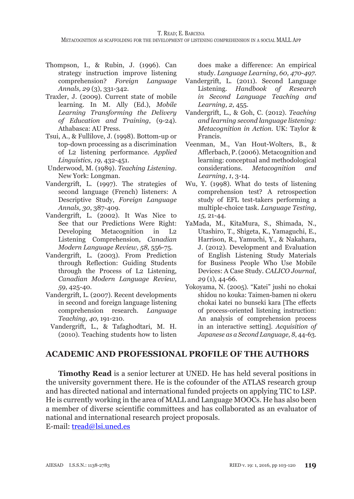T. Read; E. Barcena

Metacognition as scaffolding for the development of listening comprehension in a social MALL App

- Thompson, I., & Rubin, J. (1996). Can strategy instruction improve listening comprehension? *Foreign Language Annals, 29* (3), 331-342.
- Traxler, J. (2009). Current state of mobile learning. In M. Ally (Ed.), *Mobile Learning Transforming the Delivery of Education and Training*, (9-24). Athabasca: AU Press.
- Tsui, A., & Fullilove, J. (1998). Bottom-up or top-down processing as a discrimination of L2 listening performance. *Applied Linguistics, 19,* 432-451.
- Underwood, M. (1989). *Teaching Listening*. New York: Longman.
- Vandergrift, L. (1997). The strategies of second language (French) listeners: A Descriptive Study, *Foreign Language Annals, 30*, 387-409.
- Vandergrift, L. (2002). It Was Nice to See that our Predictions Were Right: Developing Metacognition in L2 Listening Comprehension, *Canadian Modern Language Review, 58,* 556-75.
- Vandergrift, L. (2003). From Prediction through Reflection: Guiding Students through the Process of L2 Listening, *Canadian Modern Language Review, 59*, 425-40.
- Vandergrift, L. (2007). Recent developments in second and foreign language listening comprehension research. *Language Teaching, 40,* 191-210.
	- Vandergrift, L., & Tafaghodtari, M. H. (2010). Teaching students how to listen

does make a difference: An empirical study. *Language Learning*, *60, 470-497.*

- Vandergrift, L. (2011). Second Language Listening. *Handbook of Research in Second Language Teaching and Learning, 2,* 455.
- Vandergrift, L., & Goh, C. (2012). *Teaching and learning second language listening: Metacognition in Action*. UK: Taylor & Francis.
- Veenman, M., Van Hout-Wolters, B., & Afflerbach, P. (2006). Metacognition and learning: conceptual and methodological considerations. *Metacognition and Learning*, *1*, 3-14.
- Wu, Y. (1998). What do tests of listening comprehension test? A retrospection study of EFL test-takers performing a multiple-choice task. *Language Testing, 15,* 21-44.
- YaMada, M., KitaMura, S., Shimada, N., Utashiro, T., Shigeta, K., Yamaguchi, E., Harrison, R., Yamuchi, Y., & Nakahara, J. (2012). Development and Evaluation of English Listening Study Materials for Business People Who Use Mobile Devices: A Case Study. *CALICO Journal*, *29* (1), 44-66.
- Yokoyama, N. (2005). "Katei" jushi no chokai shidou no kouka: Taimen-bamen ni okeru chokai katei no bunseki kara [The effects of process-oriented listening instruction: An analysis of comprehension process in an interactive setting]. *Acquisition of Japanese as a Second Language, 8*, 44-63.

#### **ACADEMIC AND PROFESSIONAL PROFILE OF THE AUTHORS**

**Timothy Read** is a senior lecturer at UNED. He has held several positions in the university government there. He is the cofounder of the ATLAS research group and has directed national and international funded projects on applying TIC to LSP. He is currently working in the area of MALL and Language MOOCs. He has also been a member of diverse scientific committees and has collaborated as an evaluator of national and international research project proposals.

E-mail: [tread@lsi.uned.es](mailto:tread@lsi.uned.es)